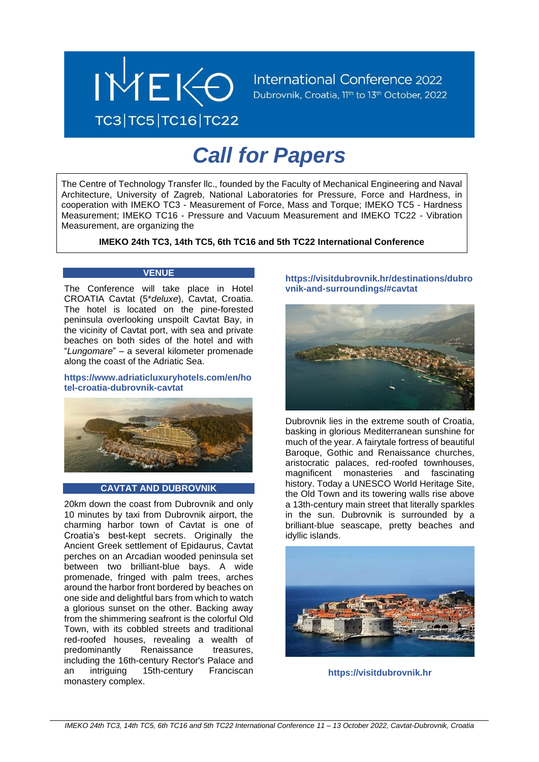

# *Call for Papers*

The Centre of Technology Transfer llc., founded by the Faculty of Mechanical Engineering and Naval Architecture, University of Zagreb, National Laboratories for Pressure, Force and Hardness, in cooperation with IMEKO TC3 - Measurement of Force, Mass and Torque; IMEKO TC5 - Hardness Measurement; IMEKO TC16 - Pressure and Vacuum Measurement and IMEKO TC22 - Vibration Measurement, are organizing the

**IMEKO 24th TC3, 14th TC5, 6th TC16 and 5th TC22 International Conference**

# **VENUE**

The Conference will take place in Hotel CROATIA Cavtat (5\**deluxe*), Cavtat, Croatia. The hotel is located on the pine-forested peninsula overlooking unspoilt Cavtat Bay, in the vicinity of Cavtat port, with sea and private beaches on both sides of the hotel and with "*Lungomare*" – a several kilometer promenade along the coast of the Adriatic Sea.

**https://www.adriaticluxuryhotels.com/en/ho tel-croatia-dubrovnik-cavtat**



# **CAVTAT AND DUBROVNIK**

20km down the coast from Dubrovnik and only 10 minutes by taxi from Dubrovnik airport, the charming harbor town of Cavtat is one of Croatia's best-kept secrets. Originally the Ancient Greek settlement of Epidaurus, Cavtat perches on an Arcadian wooded peninsula set between two brilliant-blue bays. A wide promenade, fringed with palm trees, arches around the harbor front bordered by beaches on one side and delightful bars from which to watch a glorious sunset on the other. Backing away from the shimmering seafront is the colorful Old Town, with its cobbled streets and traditional red-roofed houses, revealing a wealth of predominantly Renaissance treasures, including the 16th-century Rector's Palace and an intriguing 15th-century Franciscan monastery complex.

**[https://visitdubrovnik.hr/destinations/dubro](https://visitdubrovnik.hr/destinations/dubrovnik-and-surroundings/#cavtat) [vnik-and-surroundings/#cavtat](https://visitdubrovnik.hr/destinations/dubrovnik-and-surroundings/#cavtat)**



Dubrovnik lies in the extreme south of Croatia, basking in glorious Mediterranean sunshine for much of the year. A fairytale fortress of beautiful Baroque, Gothic and Renaissance churches, aristocratic palaces, red-roofed townhouses, magnificent monasteries and fascinating history. Today a UNESCO World Heritage Site, the Old Town and its towering walls rise above a 13th-century main street that literally sparkles in the sun. Dubrovnik is surrounded by a brilliant-blue seascape, pretty beaches and idyllic islands.



**[https://visitdubrovnik.hr](https://visitdubrovnik.hr/)**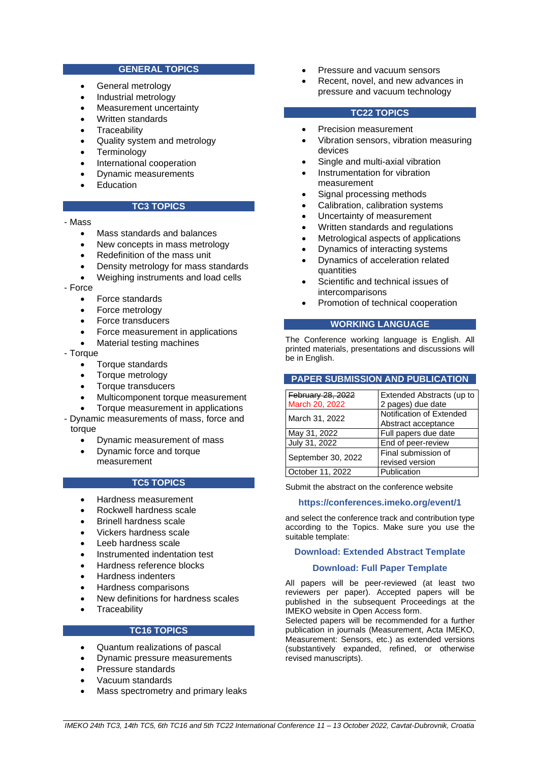# **GENERAL TOPICS**

- General metrology
- Industrial metrology
- Measurement uncertainty
- Written standards
- **Traceability**
- Quality system and metrology
- **Terminology**
- International cooperation
- Dynamic measurements
- **Education**

# **TC3 TOPICS**

- Mass
	- Mass standards and balances
	- New concepts in mass metrology
	- Redefinition of the mass unit
	- Density metrology for mass standards
	- Weighing instruments and load cells
- Force
	- Force standards
	- Force metrology
	- Force transducers
	- Force measurement in applications
	- Material testing machines
- Torque
	- Torque standards
	- Torque metrology
	- Torque transducers
	- Multicomponent torque measurement
	- Torque measurement in applications
- Dynamic measurements of mass, force and torque
	- Dynamic measurement of mass
	- Dynamic force and torque measurement

# **TC5 TOPICS**

- Hardness measurement
- Rockwell hardness scale
- Brinell hardness scale
- Vickers hardness scale
- Leeb hardness scale
- Instrumented indentation test
- Hardness reference blocks
- Hardness indenters
- Hardness comparisons
- New definitions for hardness scales
- **Traceability**

# **TC16 TOPICS**

- Quantum realizations of pascal
- Dynamic pressure measurements
- Pressure standards
- Vacuum standards
- Mass spectrometry and primary leaks
- Pressure and vacuum sensors
- Recent, novel, and new advances in pressure and vacuum technology

#### **TC22 TOPICS**

- Precision measurement
- Vibration sensors, vibration measuring devices
- Single and multi-axial vibration
- Instrumentation for vibration measurement
- Signal processing methods
- Calibration, calibration systems
- Uncertainty of measurement
- Written standards and regulations
- Metrological aspects of applications
- Dynamics of interacting systems
- Dynamics of acceleration related quantities
- Scientific and technical issues of intercomparisons
- Promotion of technical cooperation

## **WORKING LANGUAGE**

The Conference working language is English. All printed materials, presentations and discussions will be in English.

## **PAPER SUBMISSION AND PUBLICATION**

| February 28, 2022  | Extended Abstracts (up to |  |  |
|--------------------|---------------------------|--|--|
| March 20, 2022     | 2 pages) due date         |  |  |
|                    | Notification of Extended  |  |  |
| March 31, 2022     | Abstract acceptance       |  |  |
| May 31, 2022       | Full papers due date      |  |  |
| July 31, 2022      | End of peer-review        |  |  |
| September 30, 2022 | Final submission of       |  |  |
|                    | revised version           |  |  |
| October 11, 2022   | Publication               |  |  |

Submit the abstract on the conference website

## **<https://conferences.imeko.org/event/1>**

and select the conference track and contribution type according to the Topics. Make sure you use the suitable template:

## **[Download: Extended Abstract Template](https://www.imeko.org/images/tc3/2022/Template_extended_abstract.docx)**

## **[Download: Full Paper Template](https://www.imeko.org/images/tc3/2022/Template_full_paper.docx)**

All papers will be peer-reviewed (at least two reviewers per paper). Accepted papers will be published in the subsequent Proceedings at the IMEKO website in Open Access form.

Selected papers will be recommended for a further publication in journals (Measurement, Acta IMEKO, Measurement: Sensors, etc.) as extended versions (substantively expanded, refined, or otherwise revised manuscripts).